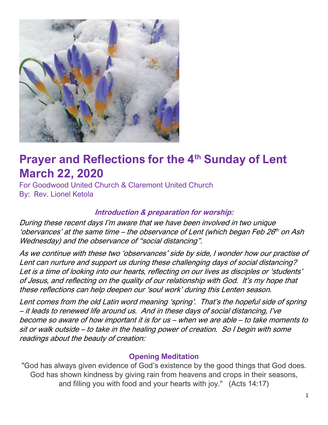

## **Prayer and Reflections for the 4th Sunday of Lent March 22, 2020**

For Goodwood United Church & Claremont United Church By: Rev. Lionel Ketola

#### **Introduction & preparation for worship:**

During these recent days I'm aware that we have been involved in two unique 'obervances' at the same time – the observance of Lent (which began Feb 26<sup>th</sup> on Ash Wednesday) and the observance of "social distancing".

As we continue with these two 'observances' side by side, I wonder how our practise of Lent can nurture and support us during these challenging days of social distancing? Let is a time of looking into our hearts, reflecting on our lives as disciples or 'students' of Jesus, and reflecting on the quality of our relationship with God. It's my hope that these reflections can help deepen our 'soul work' during this Lenten season.

Lent comes from the old Latin word meaning 'spring'. That's the hopeful side of spring – it leads to renewed life around us. And in these days of social distancing, I've become so aware of how important it is for us – when we are able – to take moments to sit or walk outside – to take in the healing power of creation. So I begin with some readings about the beauty of creation:

#### **Opening Meditation**

"God has always given evidence of God's existence by the good things that God does. God has shown kindness by giving rain from heavens and crops in their seasons, and filling you with food and your hearts with joy." (Acts 14:17)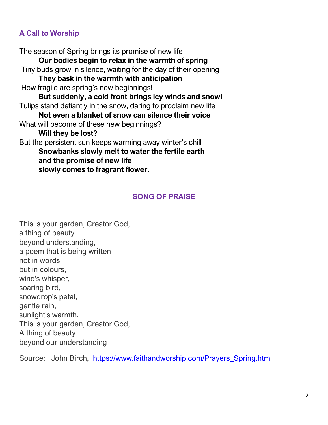#### **A Call to Worship**

The season of Spring brings its promise of new life **Our bodies begin to relax in the warmth of spring**  Tiny buds grow in silence, waiting for the day of their opening **They bask in the warmth with anticipation**  How fragile are spring's new beginnings! **But suddenly, a cold front brings icy winds and snow!** Tulips stand defiantly in the snow, daring to proclaim new life **Not even a blanket of snow can silence their voice** What will become of these new beginnings? **Will they be lost?**  But the persistent sun keeps warming away winter's chill **Snowbanks slowly melt to water the fertile earth and the promise of new life slowly comes to fragrant flower.** 

#### **SONG OF PRAISE**

This is your garden, Creator God, a thing of beauty beyond understanding, a poem that is being written not in words but in colours, wind's whisper, soaring bird, snowdrop's petal, gentle rain, sunlight's warmth, This is your garden, Creator God, A thing of beauty beyond our understanding

Source: John Birch, [https://www.faithandworship.com/Prayers\\_Spring.htm](https://www.faithandworship.com/Prayers_Spring.htm)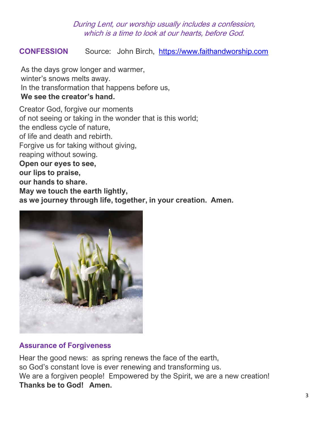#### During Lent, our worship usually includes a confession, which is a time to look at our hearts, before God.

#### **CONFESSION** Source: John Birch, [https://www.faithandworship.com](https://www.faithandworship.com/)

As the days grow longer and warmer, winter's snows melts away. In the transformation that happens before us, **We see the creator's hand.** 

Creator God, forgive our moments of not seeing or taking in the wonder that is this world; the endless cycle of nature, of life and death and rebirth. Forgive us for taking without giving, reaping without sowing. **Open our eyes to see, our lips to praise, our hands to share. May we touch the earth lightly, as we journey through life, together, in your creation. Amen.** 



#### **Assurance of Forgiveness**

Hear the good news: as spring renews the face of the earth, so God's constant love is ever renewing and transforming us. We are a forgiven people! Empowered by the Spirit, we are a new creation! **Thanks be to God! Amen.**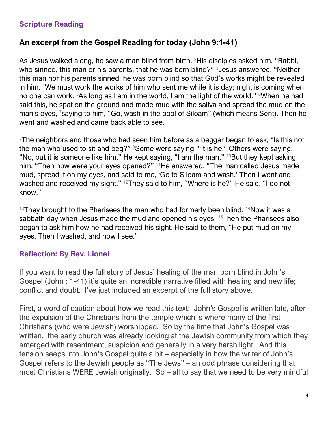#### **Scripture Reading**

#### **An excerpt from the Gospel Reading for today (John 9:1-41)**

As Jesus walked along, he saw a man blind from birth. <sup>2</sup>His disciples asked him, "Rabbi, who sinned, this man or his parents, that he was born blind?" 3 Jesus answered, "Neither this man nor his parents sinned; he was born blind so that God's works might be revealed in him. <sup>4</sup>We must work the works of him who sent me while it is day; night is coming when no one can work. <sup>5</sup>As long as I am in the world, I am the light of the world." <sup>6</sup>When he had said this, he spat on the ground and made mud with the saliva and spread the mud on the man's eyes, <sup>7</sup>saying to him, "Go, wash in the pool of Siloam" (which means Sent). Then he went and washed and came back able to see.

<sup>8</sup>The neighbors and those who had seen him before as a beggar began to ask, "Is this not the man who used to sit and beg?" <sup>9</sup>Some were saying, "It is he." Others were saying, "No, but it is someone like him." He kept saying, "I am the man."  $10B$ ut they kept asking him, "Then how were your eyes opened?" <sup>11</sup>He answered, "The man called Jesus made mud, spread it on my eyes, and said to me, 'Go to Siloam and wash.' Then I went and washed and received my sight." <sup>12</sup>They said to him, "Where is he?" He said, "I do not know."

 $13$ They brought to the Pharisees the man who had formerly been blind.  $14$ Now it was a sabbath day when Jesus made the mud and opened his eyes. <sup>15</sup>Then the Pharisees also began to ask him how he had received his sight. He said to them, "He put mud on my eyes. Then I washed, and now I see."

#### **Reflection: By Rev. Lionel**

If you want to read the full story of Jesus' healing of the man born blind in John's Gospel (John : 1-41) it's quite an incredible narrative filled with healing and new life; conflict and doubt. I've just included an excerpt of the full story above.

First, a word of caution about how we read this text: John's Gospel is written late, after the expulsion of the Christians from the temple which is where many of the first Christians (who were Jewish) worshipped. So by the time that John's Gospel was written, the early church was already looking at the Jewish community from which they emerged with resentment, suspicion and generally in a very harsh light. And this tension seeps into John's Gospel quite a bit – especially in how the writer of John's Gospel refers to the Jewish people as "The Jews" – an odd phrase considering that most Christians WERE Jewish originally. So – all to say that we need to be very mindful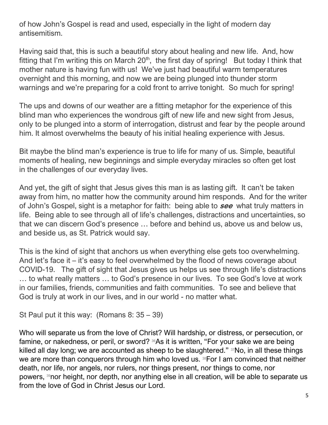of how John's Gospel is read and used, especially in the light of modern day antisemitism.

Having said that, this is such a beautiful story about healing and new life. And, how fitting that I'm writing this on March  $20<sup>th</sup>$ , the first day of spring! But today I think that mother nature is having fun with us! We've just had beautiful warm temperatures overnight and this morning, and now we are being plunged into thunder storm warnings and we're preparing for a cold front to arrive tonight. So much for spring!

The ups and downs of our weather are a fitting metaphor for the experience of this blind man who experiences the wondrous gift of new life and new sight from Jesus, only to be plunged into a storm of interrogation, distrust and fear by the people around him. It almost overwhelms the beauty of his initial healing experience with Jesus.

Bit maybe the blind man's experience is true to life for many of us. Simple, beautiful moments of healing, new beginnings and simple everyday miracles so often get lost in the challenges of our everyday lives.

And yet, the gift of sight that Jesus gives this man is as lasting gift. It can't be taken away from him, no matter how the community around him responds. And for the writer of John's Gospel, sight is a metaphor for faith: being able to **see** what truly matters in life. Being able to see through all of life's challenges, distractions and uncertainties, so that we can discern God's presence … before and behind us, above us and below us, and beside us, as St. Patrick would say.

This is the kind of sight that anchors us when everything else gets too overwhelming. And let's face it – it's easy to feel overwhelmed by the flood of news coverage about COVID-19. The gift of sight that Jesus gives us helps us see through life's distractions … to what really matters … to God's presence in our lives. To see God's love at work in our families, friends, communities and faith communities. To see and believe that God is truly at work in our lives, and in our world - no matter what.

St Paul put it this way: (Romans 8: 35 – 39)

Who will separate us from the love of Christ? Will hardship, or distress, or persecution, or famine, or nakedness, or peril, or sword? <sup>36</sup>As it is written, "For your sake we are being killed all day long; we are accounted as sheep to be slaughtered." 37No, in all these things we are more than conquerors through him who loved us. <sup>38</sup>For I am convinced that neither death, nor life, nor angels, nor rulers, nor things present, nor things to come, nor powers, <sup>39</sup>nor height, nor depth, nor anything else in all creation, will be able to separate us from the love of God in Christ Jesus our Lord.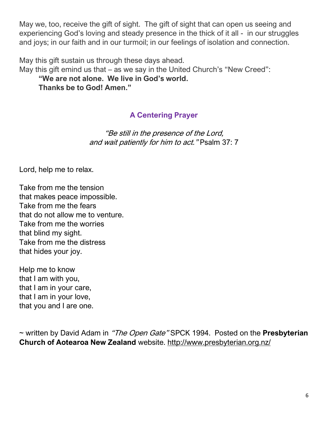May we, too, receive the gift of sight. The gift of sight that can open us seeing and experiencing God's loving and steady presence in the thick of it all - in our struggles and joys; in our faith and in our turmoil; in our feelings of isolation and connection.

May this gift sustain us through these days ahead.

May this gift emind us that – as we say in the United Church's "New Creed":

**"We are not alone. We live in God's world.** 

**Thanks be to God! Amen."**

### **A Centering Prayer**

"Be still in the presence of the Lord, and wait patiently for him to act." Psalm 37: 7

Lord, help me to relax.

Take from me the tension that makes peace impossible. Take from me the fears that do not allow me to venture. Take from me the worries that blind my sight. Take from me the distress that hides your joy.

Help me to know that I am with you, that I am in your care, that I am in your love, that you and I are one.

~ written by David Adam in "The Open Gate" SPCK 1994. Posted on the **Presbyterian Church of Aotearoa New Zealand** website. <http://www.presbyterian.org.nz/>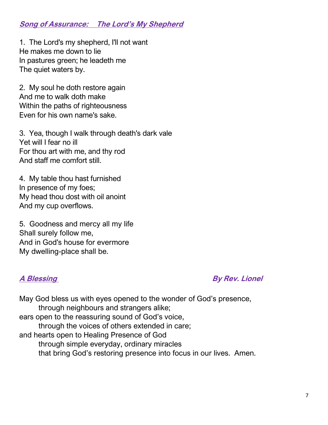#### **Song of Assurance: The Lord's My Shepherd**

1. The Lord's my shepherd, I'll not want He makes me down to lie In pastures green; he leadeth me The quiet waters by.

2. My soul he doth restore again And me to walk doth make Within the paths of righteousness Even for his own name's sake.

3. Yea, though I walk through death's dark vale Yet will I fear no ill For thou art with me, and thy rod And staff me comfort still.

4. My table thou hast furnished In presence of my foes; My head thou dost with oil anoint And my cup overflows.

5. Goodness and mercy all my life Shall surely follow me, And in God's house for evermore My dwelling-place shall be.

**A Blessing Contract A Blessing Contract A By Rev. Lionel** 

May God bless us with eyes opened to the wonder of God's presence, through neighbours and strangers alike; ears open to the reassuring sound of God's voice, through the voices of others extended in care; and hearts open to Healing Presence of God through simple everyday, ordinary miracles that bring God's restoring presence into focus in our lives. Amen.